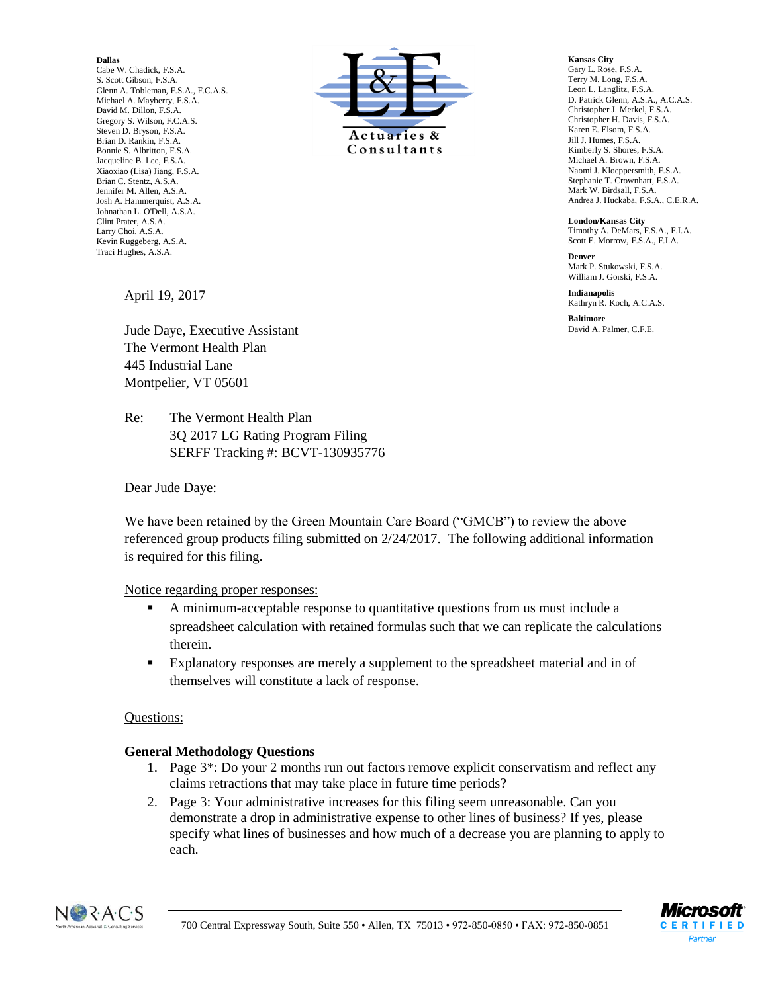#### **Dallas**

Cabe W. Chadick, F.S.A. S. Scott Gibson, F.S.A. Glenn A. Tobleman, F.S.A., F.C.A.S. Michael A. Mayberry, F.S.A. David M. Dillon, F.S.A. Gregory S. Wilson, F.C.A.S. Steven D. Bryson, F.S.A. Brian D. Rankin, F.S.A. Bonnie S. Albritton, F.S.A. Jacqueline B. Lee, F.S.A. Xiaoxiao (Lisa) Jiang, F.S.A. Brian C. Stentz, A.S.A. Jennifer M. Allen, A.S.A. Josh A. Hammerquist, A.S.A. Johnathan L. O'Dell, A.S.A. Clint Prater, A.S.A. Larry Choi, A.S.A. Kevin Ruggeberg, A.S.A. Traci Hughes, A.S.A.



**Kansas City** Gary L. Rose, F.S.A. Terry M. Long, F.S.A. Leon L. Langlitz, F.S.A. D. Patrick Glenn, A.S.A., A.C.A.S. Christopher J. Merkel, F.S.A. Christopher H. Davis, F.S.A. Karen E. Elsom, F.S.A. Jill J. Humes, F.S.A. Kimberly S. Shores, F.S.A. Michael A. Brown, F.S.A. Naomi J. Kloeppersmith, F.S.A. Stephanie T. Crownhart, F.S.A. Mark W. Birdsall, F.S.A. Andrea J. Huckaba, F.S.A., C.E.R.A.

**London/Kansas City** Timothy A. DeMars, F.S.A., F.I.A. Scott E. Morrow, F.S.A., F.I.A.

**Denver** Mark P. Stukowski, F.S.A. William J. Gorski, F.S.A.

**Indianapolis** Kathryn R. Koch, A.C.A.S.

**Baltimore** David A. Palmer, C.F.E.

April 19, 2017

Jude Daye, Executive Assistant The Vermont Health Plan 445 Industrial Lane Montpelier, VT 05601

Re: The Vermont Health Plan 3Q 2017 LG Rating Program Filing SERFF Tracking #: BCVT-130935776

Dear Jude Daye:

We have been retained by the Green Mountain Care Board ("GMCB") to review the above referenced group products filing submitted on 2/24/2017. The following additional information is required for this filing.

#### Notice regarding proper responses:

- A minimum-acceptable response to quantitative questions from us must include a spreadsheet calculation with retained formulas such that we can replicate the calculations therein.
- Explanatory responses are merely a supplement to the spreadsheet material and in of themselves will constitute a lack of response.

# Questions:

# **General Methodology Questions**

- 1. Page 3\*: Do your 2 months run out factors remove explicit conservatism and reflect any claims retractions that may take place in future time periods?
- 2. Page 3: Your administrative increases for this filing seem unreasonable. Can you demonstrate a drop in administrative expense to other lines of business? If yes, please specify what lines of businesses and how much of a decrease you are planning to apply to each.



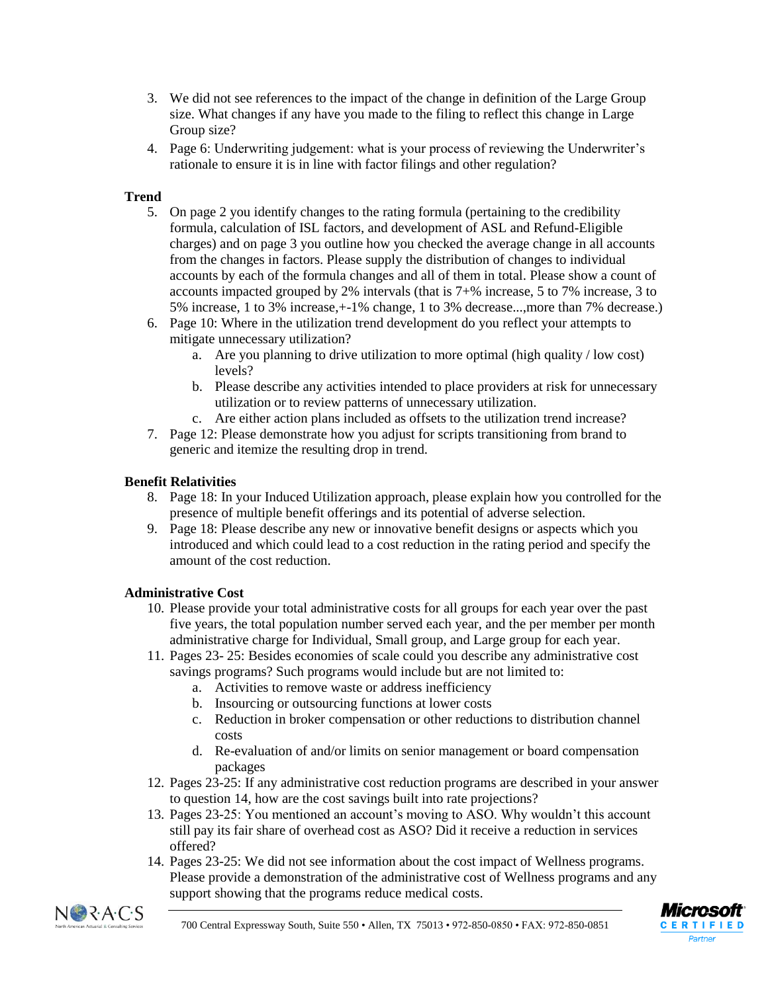- 3. We did not see references to the impact of the change in definition of the Large Group size. What changes if any have you made to the filing to reflect this change in Large Group size?
- 4. Page 6: Underwriting judgement: what is your process of reviewing the Underwriter's rationale to ensure it is in line with factor filings and other regulation?

# **Trend**

- 5. On page 2 you identify changes to the rating formula (pertaining to the credibility formula, calculation of ISL factors, and development of ASL and Refund-Eligible charges) and on page 3 you outline how you checked the average change in all accounts from the changes in factors. Please supply the distribution of changes to individual accounts by each of the formula changes and all of them in total. Please show a count of accounts impacted grouped by 2% intervals (that is 7+% increase, 5 to 7% increase, 3 to 5% increase, 1 to 3% increase,+-1% change, 1 to 3% decrease...,more than 7% decrease.)
- 6. Page 10: Where in the utilization trend development do you reflect your attempts to mitigate unnecessary utilization?
	- a. Are you planning to drive utilization to more optimal (high quality / low cost) levels?
	- b. Please describe any activities intended to place providers at risk for unnecessary utilization or to review patterns of unnecessary utilization.
	- c. Are either action plans included as offsets to the utilization trend increase?
- 7. Page 12: Please demonstrate how you adjust for scripts transitioning from brand to generic and itemize the resulting drop in trend.

# **Benefit Relativities**

- 8. Page 18: In your Induced Utilization approach, please explain how you controlled for the presence of multiple benefit offerings and its potential of adverse selection.
- 9. Page 18: Please describe any new or innovative benefit designs or aspects which you introduced and which could lead to a cost reduction in the rating period and specify the amount of the cost reduction.

# **Administrative Cost**

- 10. Please provide your total administrative costs for all groups for each year over the past five years, the total population number served each year, and the per member per month administrative charge for Individual, Small group, and Large group for each year.
- 11. Pages 23- 25: Besides economies of scale could you describe any administrative cost savings programs? Such programs would include but are not limited to:
	- a. Activities to remove waste or address inefficiency
	- b. Insourcing or outsourcing functions at lower costs
	- c. Reduction in broker compensation or other reductions to distribution channel costs
	- d. Re-evaluation of and/or limits on senior management or board compensation packages
- 12. Pages 23-25: If any administrative cost reduction programs are described in your answer to question 14, how are the cost savings built into rate projections?
- 13. Pages 23-25: You mentioned an account's moving to ASO. Why wouldn't this account still pay its fair share of overhead cost as ASO? Did it receive a reduction in services offered?
- 14. Pages 23-25: We did not see information about the cost impact of Wellness programs. Please provide a demonstration of the administrative cost of Wellness programs and any support showing that the programs reduce medical costs.